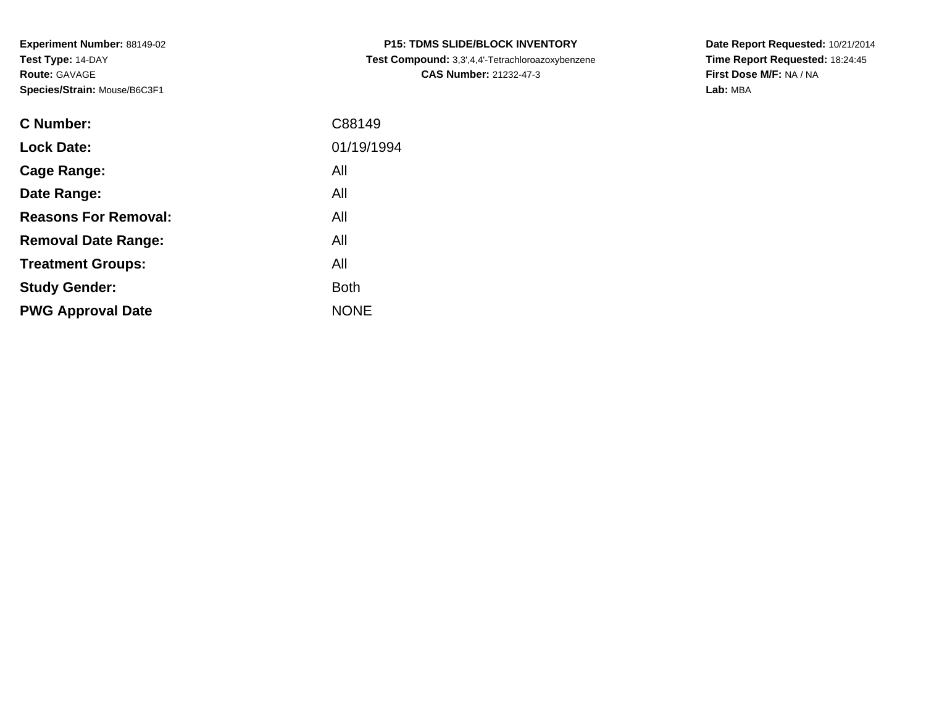**Experiment Number:** 88149-02**Test Type:** 14-DAY**Route:** GAVAGE**Species/Strain:** Mouse/B6C3F1

| <b>C Number:</b>            | C88149      |
|-----------------------------|-------------|
| <b>Lock Date:</b>           | 01/19/1994  |
| Cage Range:                 | All         |
| Date Range:                 | All         |
| <b>Reasons For Removal:</b> | All         |
| <b>Removal Date Range:</b>  | All         |
| <b>Treatment Groups:</b>    | All         |
| <b>Study Gender:</b>        | <b>Both</b> |
| <b>PWG Approval Date</b>    | <b>NONE</b> |
|                             |             |

**P15: TDMS SLIDE/BLOCK INVENTORY Test Compound:** 3,3',4,4'-Tetrachloroazoxybenzene**CAS Number:** 21232-47-3

**Date Report Requested:** 10/21/2014 **Time Report Requested:** 18:24:45**First Dose M/F:** NA / NA**Lab:** MBA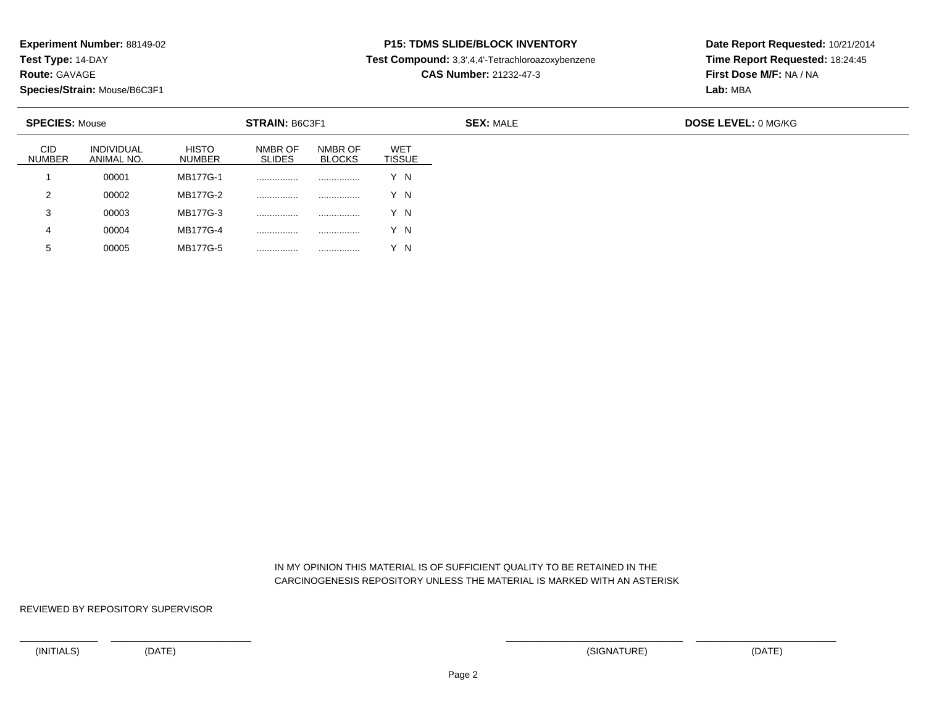**Test Type:** 14-DAY

**Route:** GAVAGE

5

**Species/Strain:** Mouse/B6C3F1

<sup>00005</sup> MB177G-5 ................ ................ Y N

# **P15: TDMS SLIDE/BLOCK INVENTORY**

**Test Compound:** 3,3',4,4'-Tetrachloroazoxybenzene

**CAS Number:** 21232-47-3

**Date Report Requested:** 10/21/2014**Time Report Requested:** 18:24:45**First Dose M/F:** NA / NA**Lab:** MBA

| <b>SPECIES: Mouse</b>       |                          |                               | <b>STRAIN: B6C3F1</b>    |                          |                             |
|-----------------------------|--------------------------|-------------------------------|--------------------------|--------------------------|-----------------------------|
| <b>CID</b><br><b>NUMBER</b> | INDIVIDUAL<br>ANIMAL NO. | <b>HISTO</b><br><b>NUMBER</b> | NMBR OF<br><b>SLIDES</b> | NMBR OF<br><b>BLOCKS</b> | <b>WET</b><br><b>TISSUE</b> |
|                             | 00001                    | MB177G-1                      |                          | .                        | Y N                         |
| 2                           | 00002                    | MB177G-2                      | .                        | .                        | Y N                         |
| 3                           | 00003                    | MB177G-3                      |                          |                          | Y N                         |
| 4                           | 00004                    | MB177G-4                      | .                        |                          | Y N                         |

 IN MY OPINION THIS MATERIAL IS OF SUFFICIENT QUALITY TO BE RETAINED IN THECARCINOGENESIS REPOSITORY UNLESS THE MATERIAL IS MARKED WITH AN ASTERISK

REVIEWED BY REPOSITORY SUPERVISOR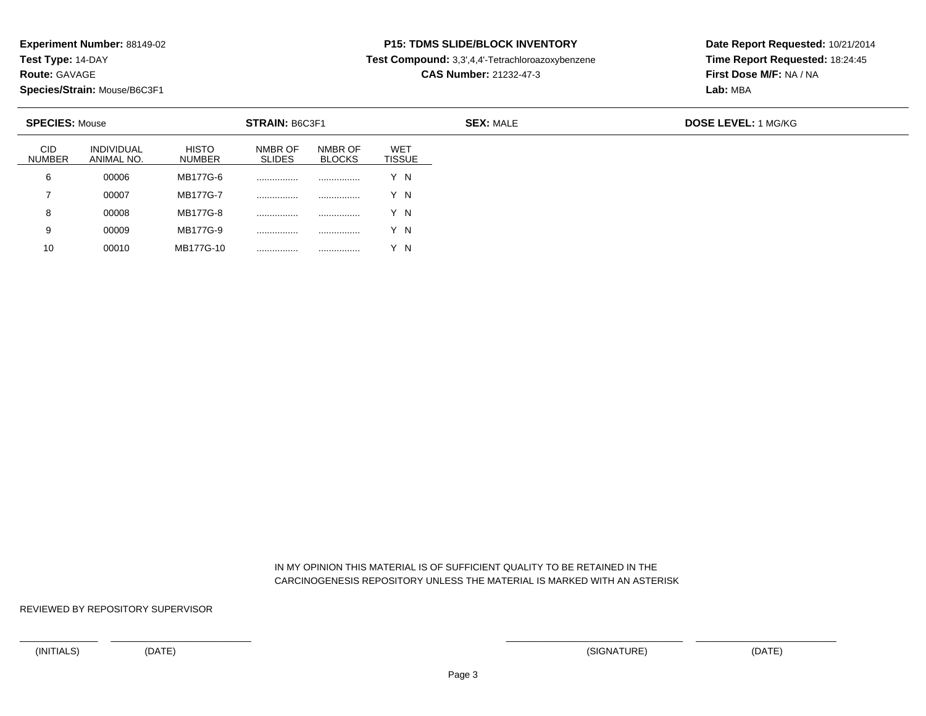**Test Type:** 14-DAY

**Route:** GAVAGE

10

**Species/Strain:** Mouse/B6C3F1

<sup>00010</sup> MB177G-10 ................ ................ Y N

# **P15: TDMS SLIDE/BLOCK INVENTORY**

**Test Compound:** 3,3',4,4'-Tetrachloroazoxybenzene

**CAS Number:** 21232-47-3

**Date Report Requested:** 10/21/2014**Time Report Requested:** 18:24:45**First Dose M/F:** NA / NA**Lab:** MBA

| <b>SPECIES: Mouse</b>       |                                 |                               | <b>STRAIN: B6C3F1</b>    |                          |                             |  |  |
|-----------------------------|---------------------------------|-------------------------------|--------------------------|--------------------------|-----------------------------|--|--|
| <b>CID</b><br><b>NUMBER</b> | <b>INDIVIDUAL</b><br>ANIMAL NO. | <b>HISTO</b><br><b>NUMBER</b> | NMBR OF<br><b>SLIDES</b> | NMBR OF<br><b>BLOCKS</b> | <b>WET</b><br><b>TISSUE</b> |  |  |
| 6                           | 00006                           | MB177G-6                      |                          |                          | Y N                         |  |  |
|                             | 00007                           | MB177G-7                      | .                        |                          | Y N                         |  |  |
| 8                           | 00008                           | MB177G-8                      | .                        |                          | Y N                         |  |  |
| 9                           | 00009                           | MB177G-9                      | .                        |                          | Y N                         |  |  |

 IN MY OPINION THIS MATERIAL IS OF SUFFICIENT QUALITY TO BE RETAINED IN THECARCINOGENESIS REPOSITORY UNLESS THE MATERIAL IS MARKED WITH AN ASTERISK

REVIEWED BY REPOSITORY SUPERVISOR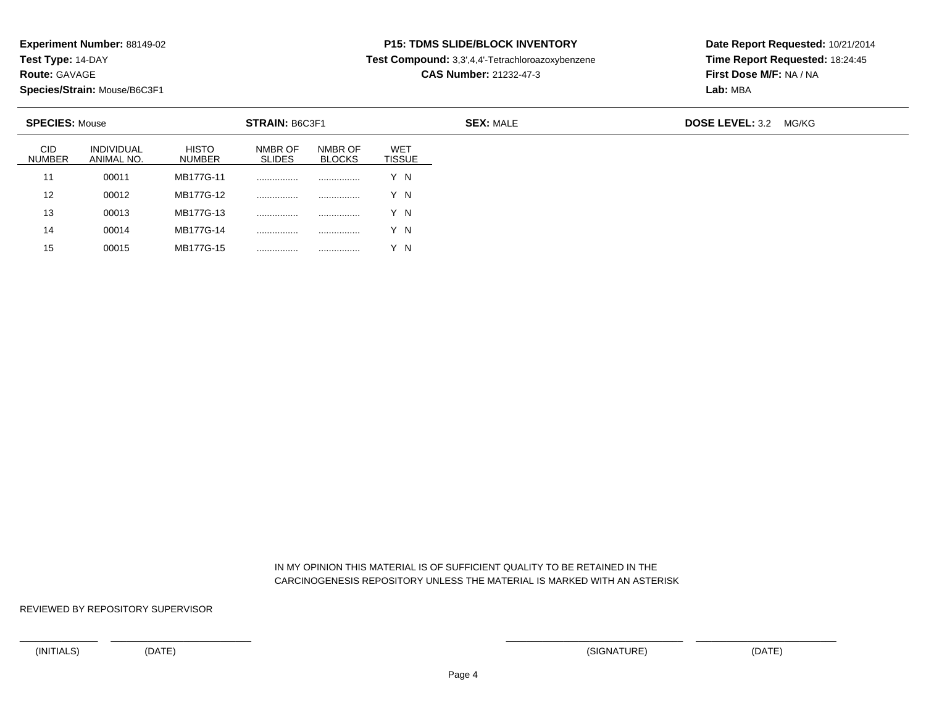**Test Type:** 14-DAY

**Route:** GAVAGE

15

**Species/Strain:** Mouse/B6C3F1

<sup>00015</sup> MB177G-15 ................ ................ Y N

### **P15: TDMS SLIDE/BLOCK INVENTORY**

**Test Compound:** 3,3',4,4'-Tetrachloroazoxybenzene

**CAS Number:** 21232-47-3

**Date Report Requested:** 10/21/2014**Time Report Requested:** 18:24:45**First Dose M/F:** NA / NA**Lab:** MBA

| <b>SPECIES: Mouse</b>       |                                 |                               | <b>STRAIN: B6C3F1</b>    |                          |                      | <b>SEX: MALE</b> | <b>DOSE LEVEL: 3.2</b> | MG/KG |
|-----------------------------|---------------------------------|-------------------------------|--------------------------|--------------------------|----------------------|------------------|------------------------|-------|
| <b>CID</b><br><b>NUMBER</b> | <b>INDIVIDUAL</b><br>ANIMAL NO. | <b>HISTO</b><br><b>NUMBER</b> | NMBR OF<br><b>SLIDES</b> | NMBR OF<br><b>BLOCKS</b> | <b>WET</b><br>TISSUE |                  |                        |       |
| 11                          | 00011                           | MB177G-11                     |                          |                          | Y N                  |                  |                        |       |
| 12                          | 00012                           | MB177G-12                     |                          |                          | Y N                  |                  |                        |       |
| 13                          | 00013                           | MB177G-13                     | .                        |                          | Y N                  |                  |                        |       |
| 14                          | 00014                           | MB177G-14                     |                          |                          | Y N                  |                  |                        |       |

 IN MY OPINION THIS MATERIAL IS OF SUFFICIENT QUALITY TO BE RETAINED IN THECARCINOGENESIS REPOSITORY UNLESS THE MATERIAL IS MARKED WITH AN ASTERISK

REVIEWED BY REPOSITORY SUPERVISOR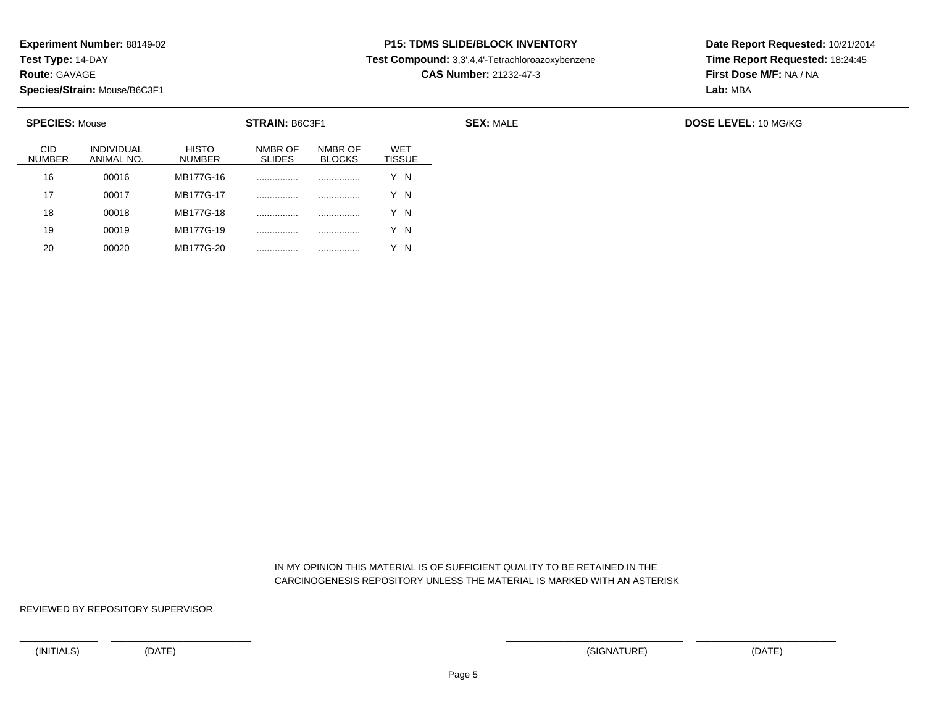**Test Type:** 14-DAY

**Route:** GAVAGE

20

**Species/Strain:** Mouse/B6C3F1

<sup>00020</sup> MB177G-20 ................ ................ Y N

# **P15: TDMS SLIDE/BLOCK INVENTORY**

**Test Compound:** 3,3',4,4'-Tetrachloroazoxybenzene

**CAS Number:** 21232-47-3

**Date Report Requested:** 10/21/2014**Time Report Requested:** 18:24:45**First Dose M/F:** NA / NA**Lab:** MBA

|                             | <b>SPECIES: Mouse</b><br><b>STRAIN: B6C3F1</b> |                               |                          |                          |                             |
|-----------------------------|------------------------------------------------|-------------------------------|--------------------------|--------------------------|-----------------------------|
| <b>CID</b><br><b>NUMBER</b> | <b>INDIVIDUAL</b><br>ANIMAL NO.                | <b>HISTO</b><br><b>NUMBER</b> | NMBR OF<br><b>SLIDES</b> | NMBR OF<br><b>BLOCKS</b> | <b>WET</b><br><b>TISSUE</b> |
| 16                          | 00016                                          | MB177G-16                     | .                        |                          | Y N                         |
| 17                          | 00017                                          | MB177G-17                     |                          |                          | Y N                         |
| 18                          | 00018                                          | MB177G-18                     |                          |                          | Y N                         |
| 19                          | 00019                                          | MB177G-19                     | .                        |                          | Y N                         |

 IN MY OPINION THIS MATERIAL IS OF SUFFICIENT QUALITY TO BE RETAINED IN THECARCINOGENESIS REPOSITORY UNLESS THE MATERIAL IS MARKED WITH AN ASTERISK

REVIEWED BY REPOSITORY SUPERVISOR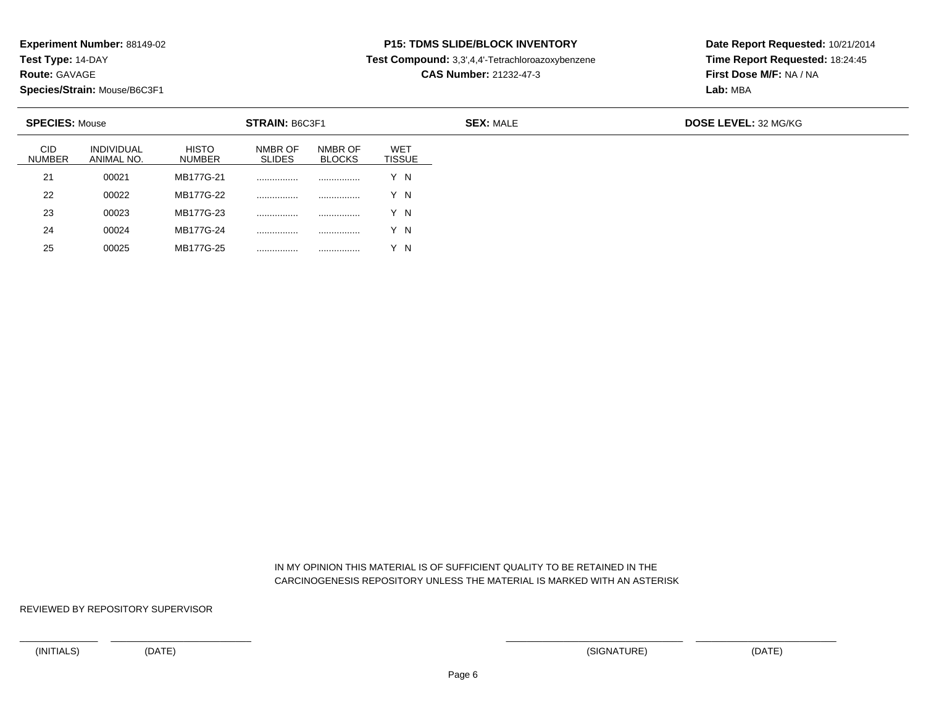**Test Type:** 14-DAY

**Route:** GAVAGE

25

**Species/Strain:** Mouse/B6C3F1

<sup>00025</sup> MB177G-25 ................ ................ Y N

# **P15: TDMS SLIDE/BLOCK INVENTORY**

**Test Compound:** 3,3',4,4'-Tetrachloroazoxybenzene

**CAS Number:** 21232-47-3

**Date Report Requested:** 10/21/2014**Time Report Requested:** 18:24:45**First Dose M/F:** NA / NA**Lab:** MBA

| <b>SPECIES: Mouse</b><br><b>STRAIN: B6C3F1</b> |                                 |                               |                          |                          |                             |
|------------------------------------------------|---------------------------------|-------------------------------|--------------------------|--------------------------|-----------------------------|
| <b>CID</b><br><b>NUMBER</b>                    | <b>INDIVIDUAL</b><br>ANIMAL NO. | <b>HISTO</b><br><b>NUMBER</b> | NMBR OF<br><b>SLIDES</b> | NMBR OF<br><b>BLOCKS</b> | <b>WET</b><br><b>TISSUE</b> |
| 21                                             | 00021                           | MB177G-21                     |                          |                          | Y N                         |
| 22                                             | 00022                           | MB177G-22                     |                          | .                        | Y N                         |
| 23                                             | 00023                           | MB177G-23                     |                          | .                        | Y N                         |
| 24                                             | 00024                           | MB177G-24                     | .                        |                          | ΄ Ν                         |

 IN MY OPINION THIS MATERIAL IS OF SUFFICIENT QUALITY TO BE RETAINED IN THECARCINOGENESIS REPOSITORY UNLESS THE MATERIAL IS MARKED WITH AN ASTERISK

REVIEWED BY REPOSITORY SUPERVISOR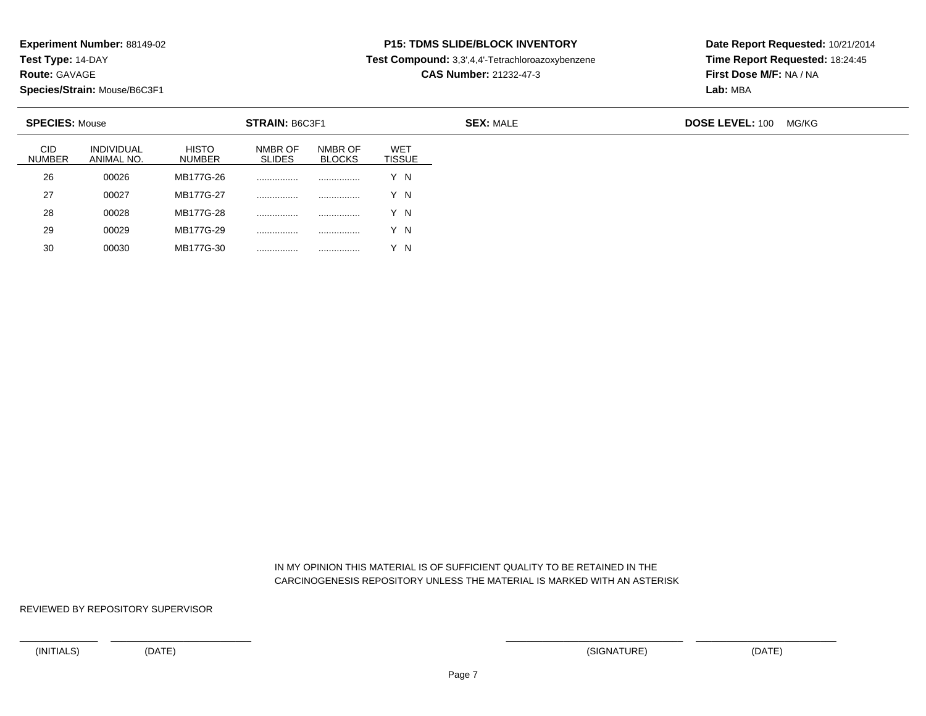**Test Type:** 14-DAY

**Route:** GAVAGE

30

**Species/Strain:** Mouse/B6C3F1

<sup>00030</sup> MB177G-30 ................ ................ Y N

# **P15: TDMS SLIDE/BLOCK INVENTORY**

**Test Compound:** 3,3',4,4'-Tetrachloroazoxybenzene

**CAS Number:** 21232-47-3

**Date Report Requested:** 10/21/2014**Time Report Requested:** 18:24:45**First Dose M/F:** NA / NA**Lab:** MBA

| <b>SPECIES: Mouse</b>       |                                 |                               | STRAIN: B6C3F1           |                          |                             | <b>SEX: MALE</b> | <b>DOSE LEVEL: 100</b> | MG/KG |
|-----------------------------|---------------------------------|-------------------------------|--------------------------|--------------------------|-----------------------------|------------------|------------------------|-------|
| <b>CID</b><br><b>NUMBER</b> | <b>INDIVIDUAL</b><br>ANIMAL NO. | <b>HISTO</b><br><b>NUMBER</b> | NMBR OF<br><b>SLIDES</b> | NMBR OF<br><b>BLOCKS</b> | <b>WET</b><br><b>TISSUE</b> |                  |                        |       |
| 26                          | 00026                           | MB177G-26                     |                          |                          | Y N                         |                  |                        |       |
| 27                          | 00027                           | MB177G-27                     |                          |                          | Y N                         |                  |                        |       |
| 28                          | 00028                           | MB177G-28                     |                          | .                        | Y N                         |                  |                        |       |
| 29                          | 00029                           | MB177G-29                     |                          |                          | Y N                         |                  |                        |       |

 IN MY OPINION THIS MATERIAL IS OF SUFFICIENT QUALITY TO BE RETAINED IN THECARCINOGENESIS REPOSITORY UNLESS THE MATERIAL IS MARKED WITH AN ASTERISK

REVIEWED BY REPOSITORY SUPERVISOR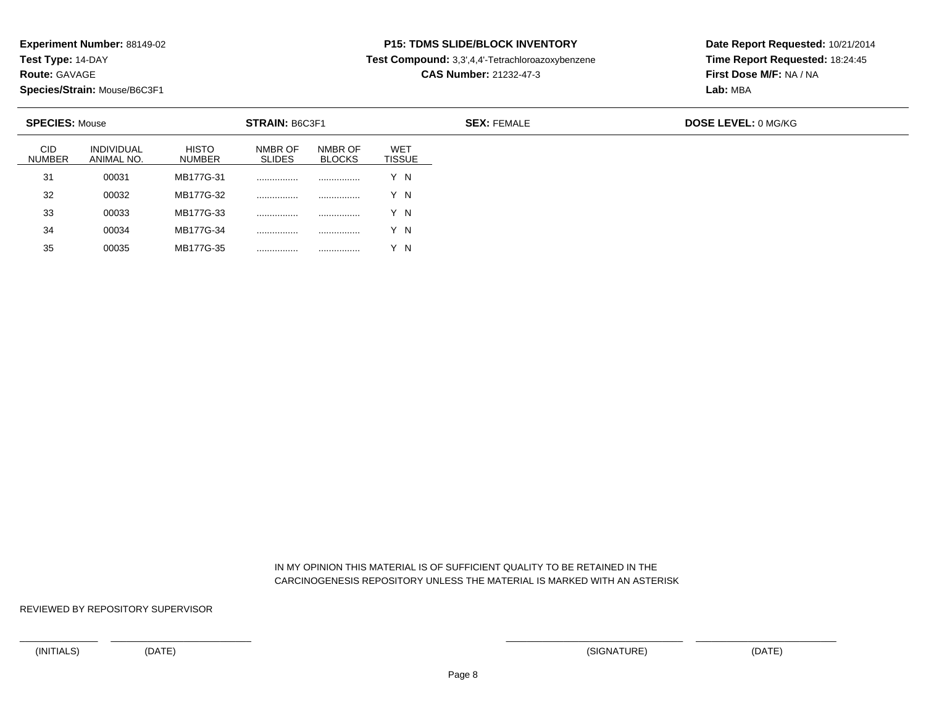**Test Type:** 14-DAY

**Route:** GAVAGE

35

**Species/Strain:** Mouse/B6C3F1

<sup>00035</sup> MB177G-35 ................ ................ Y N

### **P15: TDMS SLIDE/BLOCK INVENTORY**

**Test Compound:** 3,3',4,4'-Tetrachloroazoxybenzene

**CAS Number:** 21232-47-3

**Date Report Requested:** 10/21/2014**Time Report Requested:** 18:24:45**First Dose M/F:** NA / NA**Lab:** MBA

| <b>SPECIES: Mouse</b><br><b>STRAIN: B6C3F1</b> |                                 |                               |                          |                          |                                  |
|------------------------------------------------|---------------------------------|-------------------------------|--------------------------|--------------------------|----------------------------------|
| <b>CID</b><br><b>NUMBER</b>                    | <b>INDIVIDUAL</b><br>ANIMAL NO. | <b>HISTO</b><br><b>NUMBER</b> | NMBR OF<br><b>SLIDES</b> | NMBR OF<br><b>BLOCKS</b> | WE <sub>1</sub><br><b>TISSUE</b> |
| 31                                             | 00031                           | MB177G-31                     |                          |                          | Y N                              |
| 32                                             | 00032                           | MB177G-32                     |                          |                          | Y N                              |
| 33                                             | 00033                           | MB177G-33                     |                          |                          | Y N                              |
| 34                                             | 00034                           | MB177G-34                     |                          |                          | Y N                              |

 IN MY OPINION THIS MATERIAL IS OF SUFFICIENT QUALITY TO BE RETAINED IN THECARCINOGENESIS REPOSITORY UNLESS THE MATERIAL IS MARKED WITH AN ASTERISK

REVIEWED BY REPOSITORY SUPERVISOR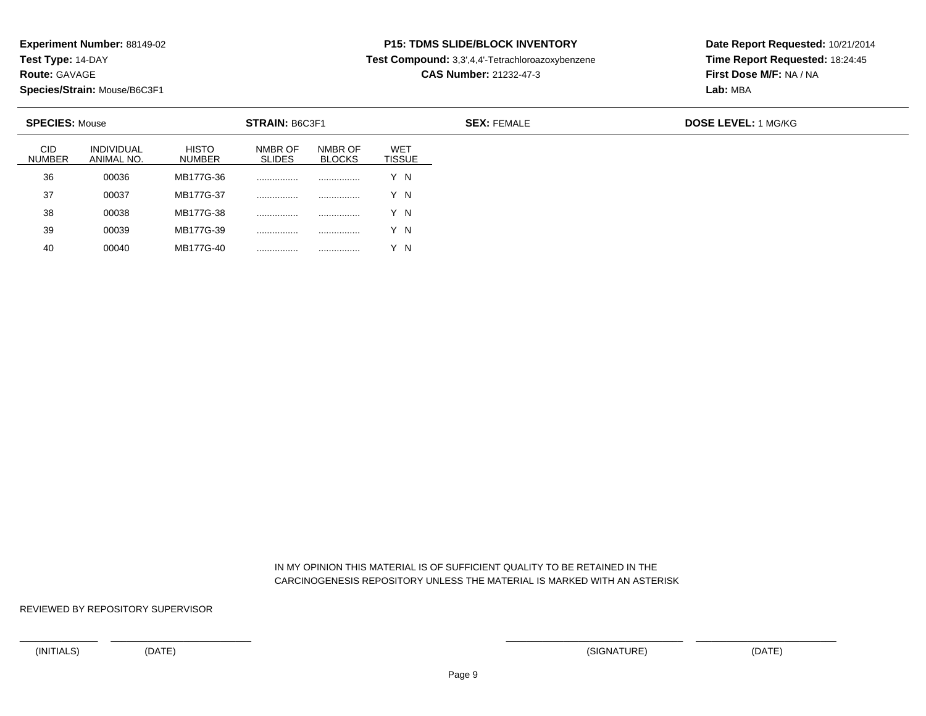**Test Type:** 14-DAY

**Route:** GAVAGE

40

**Species/Strain:** Mouse/B6C3F1

<sup>00040</sup> MB177G-40 ................ ................ Y N

### **P15: TDMS SLIDE/BLOCK INVENTORY**

**Test Compound:** 3,3',4,4'-Tetrachloroazoxybenzene

**CAS Number:** 21232-47-3

**Date Report Requested:** 10/21/2014**Time Report Requested:** 18:24:45**First Dose M/F:** NA / NA**Lab:** MBA

| <b>SPECIES: Mouse</b><br>STRAIN: B6C3F1 |                                 |                        |                          |                          |                             | <b>SEX: FEMALE</b> | <b>DOSE LEVEL: 1 MG/KG</b> |
|-----------------------------------------|---------------------------------|------------------------|--------------------------|--------------------------|-----------------------------|--------------------|----------------------------|
| <b>CID</b><br><b>NUMBER</b>             | <b>INDIVIDUAL</b><br>ANIMAL NO. | <b>HISTO</b><br>NUMBER | NMBR OF<br><b>SLIDES</b> | NMBR OF<br><b>BLOCKS</b> | <b>WET</b><br><b>TISSUE</b> |                    |                            |
| 36                                      | 00036                           | MB177G-36              | .                        |                          | Y N                         |                    |                            |
| 37                                      | 00037                           | MB177G-37              |                          | .                        | Y N                         |                    |                            |
| 38                                      | 00038                           | MB177G-38              | .                        |                          | Y N                         |                    |                            |
| 39                                      | 00039                           | MB177G-39              | .                        |                          | ΄Ν                          |                    |                            |

 IN MY OPINION THIS MATERIAL IS OF SUFFICIENT QUALITY TO BE RETAINED IN THECARCINOGENESIS REPOSITORY UNLESS THE MATERIAL IS MARKED WITH AN ASTERISK

REVIEWED BY REPOSITORY SUPERVISOR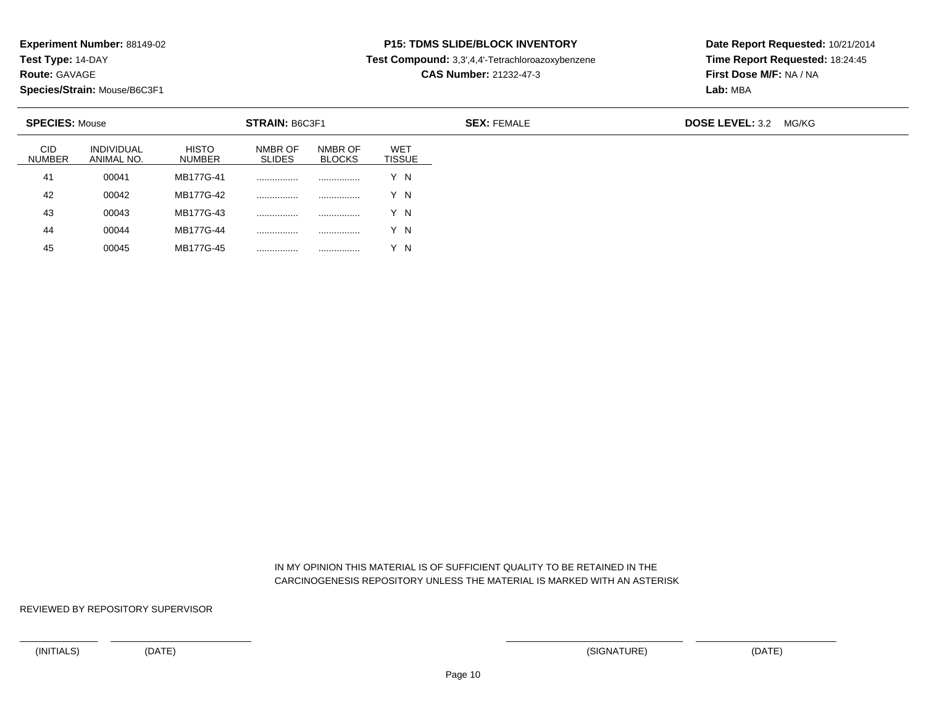**Test Type:** 14-DAY

**Route:** GAVAGE

45

**Species/Strain:** Mouse/B6C3F1

<sup>00045</sup> MB177G-45 ................ ................ Y N

### **P15: TDMS SLIDE/BLOCK INVENTORY**

**Test Compound:** 3,3',4,4'-Tetrachloroazoxybenzene

**CAS Number:** 21232-47-3

**Date Report Requested:** 10/21/2014**Time Report Requested:** 18:24:45**First Dose M/F:** NA / NA**Lab:** MBA

| <b>SPECIES: Mouse</b> |                                 |                               | STRAIN: B6C3F1           |                          |                             | <b>SEX: FEMALE</b> | <b>DOSE LEVEL: 3.2</b> | MG/KG |
|-----------------------|---------------------------------|-------------------------------|--------------------------|--------------------------|-----------------------------|--------------------|------------------------|-------|
| CID<br><b>NUMBER</b>  | <b>INDIVIDUAL</b><br>ANIMAL NO. | <b>HISTO</b><br><b>NUMBER</b> | NMBR OF<br><b>SLIDES</b> | NMBR OF<br><b>BLOCKS</b> | <b>WET</b><br><b>TISSUE</b> |                    |                        |       |
| 41                    | 00041                           | MB177G-41                     |                          |                          | Y N                         |                    |                        |       |
| 42                    | 00042                           | MB177G-42                     |                          |                          | Y N                         |                    |                        |       |
| 43                    | 00043                           | MB177G-43                     | .                        |                          | Y N                         |                    |                        |       |
| 44                    | 00044                           | MB177G-44                     | .                        |                          | Y N                         |                    |                        |       |

 IN MY OPINION THIS MATERIAL IS OF SUFFICIENT QUALITY TO BE RETAINED IN THECARCINOGENESIS REPOSITORY UNLESS THE MATERIAL IS MARKED WITH AN ASTERISK

REVIEWED BY REPOSITORY SUPERVISOR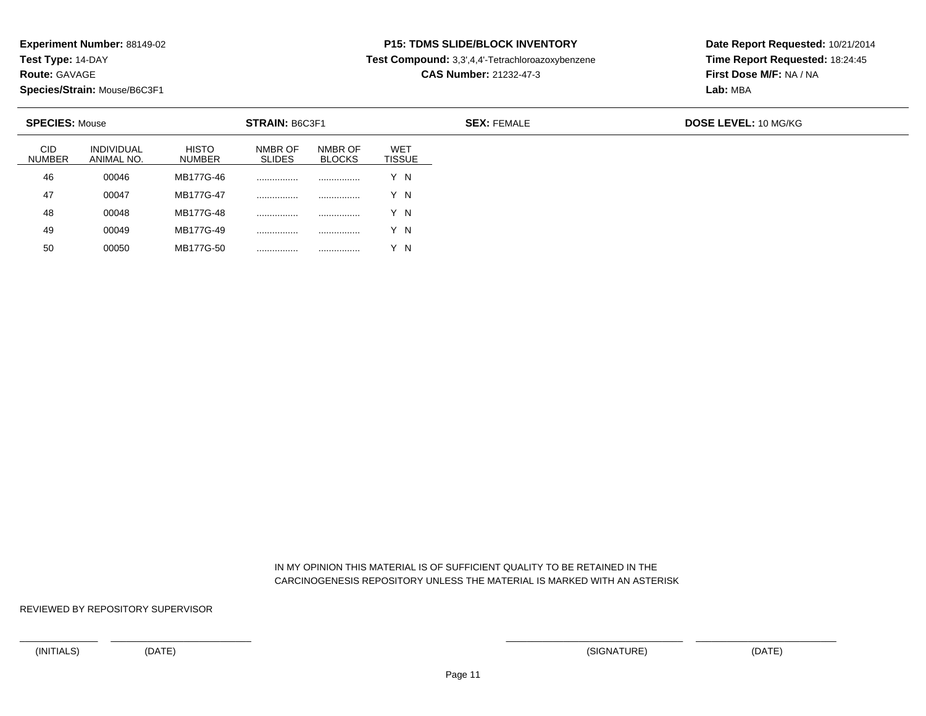**Test Type:** 14-DAY

**Route:** GAVAGE

50

**Species/Strain:** Mouse/B6C3F1

<sup>00050</sup> MB177G-50 ................ ................ Y N

### **P15: TDMS SLIDE/BLOCK INVENTORY**

**Test Compound:** 3,3',4,4'-Tetrachloroazoxybenzene

**CAS Number:** 21232-47-3

**Date Report Requested:** 10/21/2014**Time Report Requested:** 18:24:45**First Dose M/F:** NA / NA**Lab:** MBA

| <b>SPECIES: Mouse</b><br><b>STRAIN: B6C3F1</b> |                                 |                               |                          |                          |                                  |
|------------------------------------------------|---------------------------------|-------------------------------|--------------------------|--------------------------|----------------------------------|
| <b>CID</b><br><b>NUMBER</b>                    | <b>INDIVIDUAL</b><br>ANIMAL NO. | <b>HISTO</b><br><b>NUMBER</b> | NMBR OF<br><b>SLIDES</b> | NMBR OF<br><b>BLOCKS</b> | WE <sub>1</sub><br><b>TISSUE</b> |
| 46                                             | 00046                           | MB177G-46                     | .                        |                          | Y N                              |
| 47                                             | 00047                           | MB177G-47                     | .                        |                          | Y N                              |
| 48                                             | 00048                           | MB177G-48                     | .                        |                          | Y N                              |
| 49                                             | 00049                           | MB177G-49                     | .                        |                          | Y N                              |

 IN MY OPINION THIS MATERIAL IS OF SUFFICIENT QUALITY TO BE RETAINED IN THECARCINOGENESIS REPOSITORY UNLESS THE MATERIAL IS MARKED WITH AN ASTERISK

REVIEWED BY REPOSITORY SUPERVISOR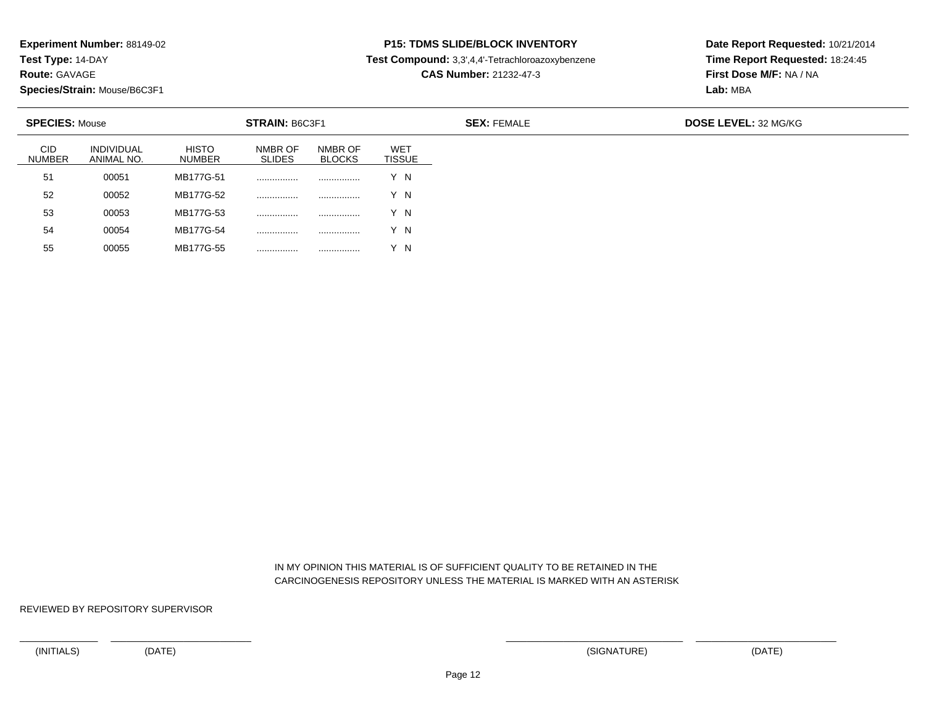**Test Type:** 14-DAY

**Route:** GAVAGE

55

**Species/Strain:** Mouse/B6C3F1

<sup>00055</sup> MB177G-55 ................ ................ Y N

# **P15: TDMS SLIDE/BLOCK INVENTORY**

**Test Compound:** 3,3',4,4'-Tetrachloroazoxybenzene

**CAS Number:** 21232-47-3

**Date Report Requested:** 10/21/2014**Time Report Requested:** 18:24:45**First Dose M/F:** NA / NA**Lab:** MBA

| <b>SPECIES: Mouse</b><br><b>STRAIN: B6C3F1</b> |                                 |                               |                          |                          |                             | <b>SEX: FEMALE</b> | <b>DOSE LEVEL: 32 MG/KG</b> |
|------------------------------------------------|---------------------------------|-------------------------------|--------------------------|--------------------------|-----------------------------|--------------------|-----------------------------|
| <b>CID</b><br><b>NUMBER</b>                    | <b>INDIVIDUAL</b><br>ANIMAL NO. | <b>HISTO</b><br><b>NUMBER</b> | NMBR OF<br><b>SLIDES</b> | NMBR OF<br><b>BLOCKS</b> | <b>WET</b><br><b>TISSUE</b> |                    |                             |
| 51                                             | 00051                           | MB177G-51                     | .                        |                          | Y N                         |                    |                             |
| 52                                             | 00052                           | MB177G-52                     | .                        |                          | Y N                         |                    |                             |
| 53                                             | 00053                           | MB177G-53                     | .                        |                          | Y N                         |                    |                             |
| 54                                             | 00054                           | MB177G-54                     | .                        | .                        | Y N                         |                    |                             |

 IN MY OPINION THIS MATERIAL IS OF SUFFICIENT QUALITY TO BE RETAINED IN THECARCINOGENESIS REPOSITORY UNLESS THE MATERIAL IS MARKED WITH AN ASTERISK

REVIEWED BY REPOSITORY SUPERVISOR